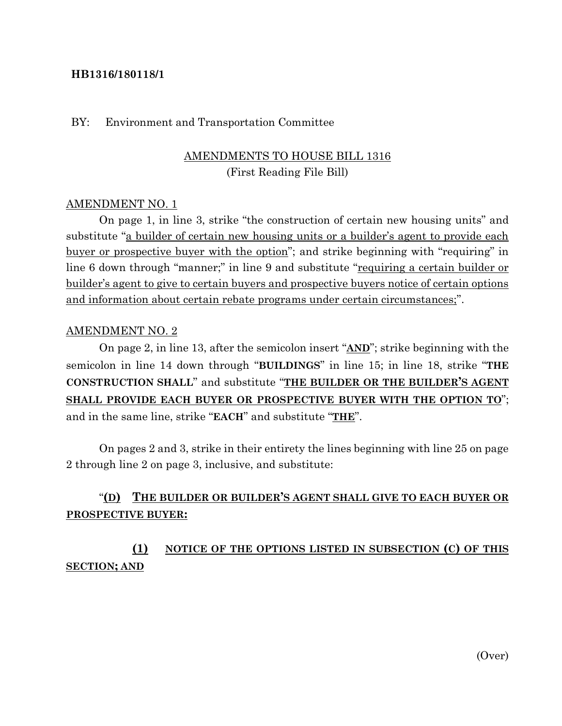### **HB1316/180118/1**

#### BY: Environment and Transportation Committee

## AMENDMENTS TO HOUSE BILL 1316 (First Reading File Bill)

#### AMENDMENT NO. 1

On page 1, in line 3, strike "the construction of certain new housing units" and substitute "a builder of certain new housing units or a builder's agent to provide each buyer or prospective buyer with the option"; and strike beginning with "requiring" in line 6 down through "manner;" in line 9 and substitute "requiring a certain builder or builder's agent to give to certain buyers and prospective buyers notice of certain options and information about certain rebate programs under certain circumstances;".

#### AMENDMENT NO. 2

On page 2, in line 13, after the semicolon insert "**AND**"; strike beginning with the semicolon in line 14 down through "**BUILDINGS**" in line 15; in line 18, strike "**THE CONSTRUCTION SHALL**" and substitute "**THE BUILDER OR THE BUILDER'S AGENT SHALL PROVIDE EACH BUYER OR PROSPECTIVE BUYER WITH THE OPTION TO**"; and in the same line, strike "**EACH**" and substitute "**THE**".

On pages 2 and 3, strike in their entirety the lines beginning with line 25 on page 2 through line 2 on page 3, inclusive, and substitute:

# "**(D) THE BUILDER OR BUILDER'S AGENT SHALL GIVE TO EACH BUYER OR PROSPECTIVE BUYER:**

**(1) NOTICE OF THE OPTIONS LISTED IN SUBSECTION (C) OF THIS SECTION; AND**

(Over)